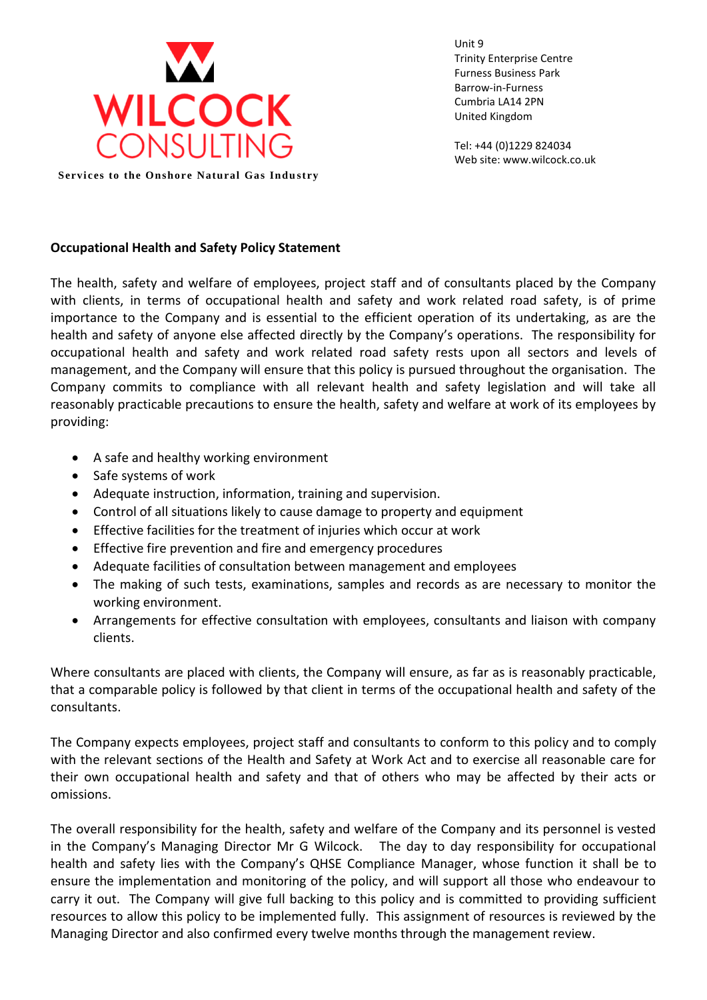

Unit 9 Trinity Enterprise Centre Furness Business Park Barrow-in-Furness Cumbria LA14 2PN United Kingdom

Tel: +44 (0)1229 824034 Web site: www.wilcock.co.uk

## **Occupational Health and Safety Policy Statement**

The health, safety and welfare of employees, project staff and of consultants placed by the Company with clients, in terms of occupational health and safety and work related road safety, is of prime importance to the Company and is essential to the efficient operation of its undertaking, as are the health and safety of anyone else affected directly by the Company's operations. The responsibility for occupational health and safety and work related road safety rests upon all sectors and levels of management, and the Company will ensure that this policy is pursued throughout the organisation. The Company commits to compliance with all relevant health and safety legislation and will take all reasonably practicable precautions to ensure the health, safety and welfare at work of its employees by providing:

- A safe and healthy working environment
- Safe systems of work
- Adequate instruction, information, training and supervision.
- Control of all situations likely to cause damage to property and equipment
- Effective facilities for the treatment of injuries which occur at work
- Effective fire prevention and fire and emergency procedures
- Adequate facilities of consultation between management and employees
- The making of such tests, examinations, samples and records as are necessary to monitor the working environment.
- Arrangements for effective consultation with employees, consultants and liaison with company clients.

Where consultants are placed with clients, the Company will ensure, as far as is reasonably practicable, that a comparable policy is followed by that client in terms of the occupational health and safety of the consultants.

The Company expects employees, project staff and consultants to conform to this policy and to comply with the relevant sections of the Health and Safety at Work Act and to exercise all reasonable care for their own occupational health and safety and that of others who may be affected by their acts or omissions.

The overall responsibility for the health, safety and welfare of the Company and its personnel is vested in the Company's Managing Director Mr G Wilcock. The day to day responsibility for occupational health and safety lies with the Company's QHSE Compliance Manager, whose function it shall be to ensure the implementation and monitoring of the policy, and will support all those who endeavour to carry it out. The Company will give full backing to this policy and is committed to providing sufficient resources to allow this policy to be implemented fully. This assignment of resources is reviewed by the Managing Director and also confirmed every twelve months through the management review.